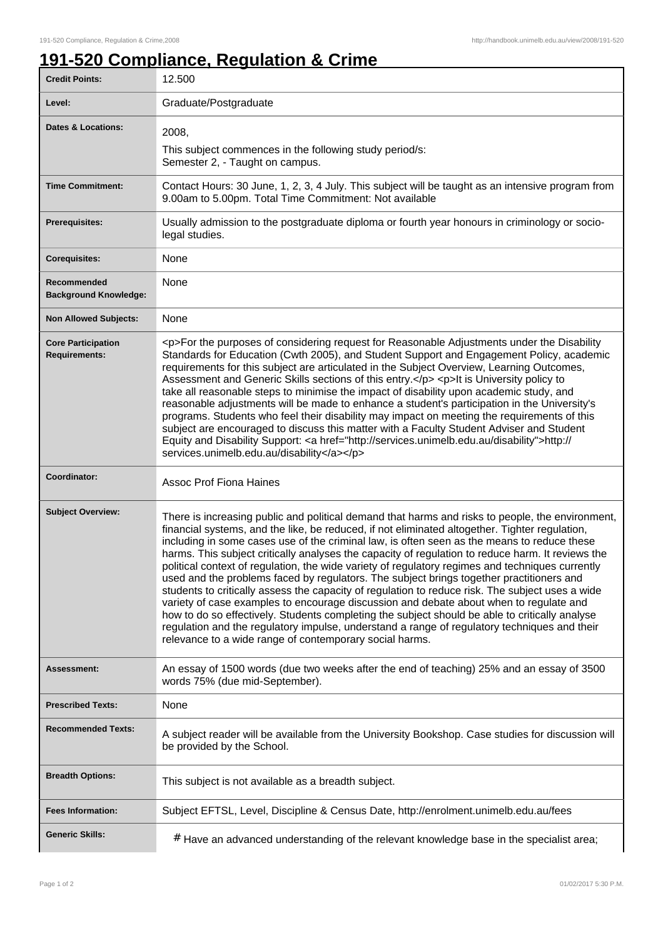٦

## **191-520 Compliance, Regulation & Crime**

| <b>Credit Points:</b>                             | 12.500                                                                                                                                                                                                                                                                                                                                                                                                                                                                                                                                                                                                                                                                                                                                                                                                                                                                                                                                                                                                                                                            |
|---------------------------------------------------|-------------------------------------------------------------------------------------------------------------------------------------------------------------------------------------------------------------------------------------------------------------------------------------------------------------------------------------------------------------------------------------------------------------------------------------------------------------------------------------------------------------------------------------------------------------------------------------------------------------------------------------------------------------------------------------------------------------------------------------------------------------------------------------------------------------------------------------------------------------------------------------------------------------------------------------------------------------------------------------------------------------------------------------------------------------------|
| Level:                                            | Graduate/Postgraduate                                                                                                                                                                                                                                                                                                                                                                                                                                                                                                                                                                                                                                                                                                                                                                                                                                                                                                                                                                                                                                             |
| Dates & Locations:                                | 2008,                                                                                                                                                                                                                                                                                                                                                                                                                                                                                                                                                                                                                                                                                                                                                                                                                                                                                                                                                                                                                                                             |
|                                                   | This subject commences in the following study period/s:<br>Semester 2, - Taught on campus.                                                                                                                                                                                                                                                                                                                                                                                                                                                                                                                                                                                                                                                                                                                                                                                                                                                                                                                                                                        |
| <b>Time Commitment:</b>                           | Contact Hours: 30 June, 1, 2, 3, 4 July. This subject will be taught as an intensive program from<br>9.00am to 5.00pm. Total Time Commitment: Not available                                                                                                                                                                                                                                                                                                                                                                                                                                                                                                                                                                                                                                                                                                                                                                                                                                                                                                       |
| Prerequisites:                                    | Usually admission to the postgraduate diploma or fourth year honours in criminology or socio-<br>legal studies.                                                                                                                                                                                                                                                                                                                                                                                                                                                                                                                                                                                                                                                                                                                                                                                                                                                                                                                                                   |
| <b>Corequisites:</b>                              | None                                                                                                                                                                                                                                                                                                                                                                                                                                                                                                                                                                                                                                                                                                                                                                                                                                                                                                                                                                                                                                                              |
| Recommended<br><b>Background Knowledge:</b>       | None                                                                                                                                                                                                                                                                                                                                                                                                                                                                                                                                                                                                                                                                                                                                                                                                                                                                                                                                                                                                                                                              |
| <b>Non Allowed Subjects:</b>                      | None                                                                                                                                                                                                                                                                                                                                                                                                                                                                                                                                                                                                                                                                                                                                                                                                                                                                                                                                                                                                                                                              |
| <b>Core Participation</b><br><b>Requirements:</b> | <p>For the purposes of considering request for Reasonable Adjustments under the Disability<br/>Standards for Education (Cwth 2005), and Student Support and Engagement Policy, academic<br/>requirements for this subject are articulated in the Subject Overview, Learning Outcomes,<br/>Assessment and Generic Skills sections of this entry.</p> <p>lt is University policy to<br/>take all reasonable steps to minimise the impact of disability upon academic study, and<br/>reasonable adjustments will be made to enhance a student's participation in the University's<br/>programs. Students who feel their disability may impact on meeting the requirements of this<br/>subject are encouraged to discuss this matter with a Faculty Student Adviser and Student<br/>Equity and Disability Support: &lt; a href="http://services.unimelb.edu.au/disability"&gt;http://<br/>services.unimelb.edu.au/disability</p>                                                                                                                                      |
|                                                   |                                                                                                                                                                                                                                                                                                                                                                                                                                                                                                                                                                                                                                                                                                                                                                                                                                                                                                                                                                                                                                                                   |
| Coordinator:                                      | <b>Assoc Prof Fiona Haines</b>                                                                                                                                                                                                                                                                                                                                                                                                                                                                                                                                                                                                                                                                                                                                                                                                                                                                                                                                                                                                                                    |
| <b>Subject Overview:</b>                          | There is increasing public and political demand that harms and risks to people, the environment,<br>financial systems, and the like, be reduced, if not eliminated altogether. Tighter regulation,<br>including in some cases use of the criminal law, is often seen as the means to reduce these<br>harms. This subject critically analyses the capacity of regulation to reduce harm. It reviews the<br>political context of regulation, the wide variety of regulatory regimes and techniques currently<br>used and the problems faced by regulators. The subject brings together practitioners and<br>students to critically assess the capacity of regulation to reduce risk. The subject uses a wide<br>variety of case examples to encourage discussion and debate about when to regulate and<br>how to do so effectively. Students completing the subject should be able to critically analyse<br>regulation and the regulatory impulse, understand a range of regulatory techniques and their<br>relevance to a wide range of contemporary social harms. |
| Assessment:                                       | An essay of 1500 words (due two weeks after the end of teaching) 25% and an essay of 3500<br>words 75% (due mid-September).                                                                                                                                                                                                                                                                                                                                                                                                                                                                                                                                                                                                                                                                                                                                                                                                                                                                                                                                       |
| <b>Prescribed Texts:</b>                          | None                                                                                                                                                                                                                                                                                                                                                                                                                                                                                                                                                                                                                                                                                                                                                                                                                                                                                                                                                                                                                                                              |
| <b>Recommended Texts:</b>                         | A subject reader will be available from the University Bookshop. Case studies for discussion will<br>be provided by the School.                                                                                                                                                                                                                                                                                                                                                                                                                                                                                                                                                                                                                                                                                                                                                                                                                                                                                                                                   |
| <b>Breadth Options:</b>                           | This subject is not available as a breadth subject.                                                                                                                                                                                                                                                                                                                                                                                                                                                                                                                                                                                                                                                                                                                                                                                                                                                                                                                                                                                                               |
| <b>Fees Information:</b>                          | Subject EFTSL, Level, Discipline & Census Date, http://enrolment.unimelb.edu.au/fees                                                                                                                                                                                                                                                                                                                                                                                                                                                                                                                                                                                                                                                                                                                                                                                                                                                                                                                                                                              |